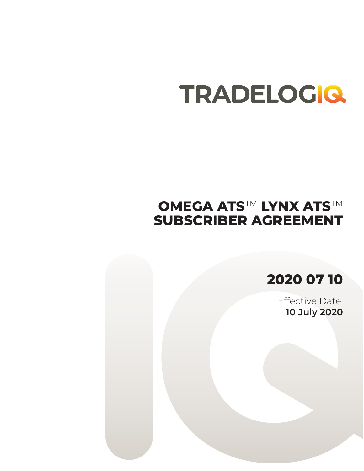# **OMEGA ATS™ LYNX ATS™ SUBSCRIBER AGREEMENT**

**2020 07 10**

Effective Date: **10 July 2020**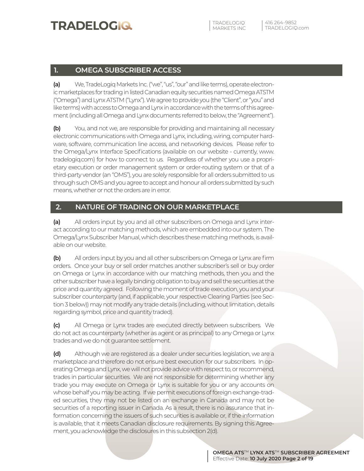### **1. OMEGA SUBSCRIBER ACCESS**

**(a)** We, TradeLogiq Markets Inc. ("we", "us", "our" and like terms), operate electronic marketplaces for trading in listed Canadian equity securities named Omega ATSTM ("Omega") and Lynx ATSTM ("Lynx"). We agree to provide you (the "Client", or "you" and like terms) with access to Omega and Lynx in accordance with the terms of this agreement (including all Omega and Lynx documents referred to below, the "Agreement").

**(b)** You, and not we, are responsible for providing and maintaining all necessary electronic communications with Omega and Lynx, including, wiring, computer hardware, software, communication line access, and networking devices. Please refer to the Omega/Lynx Interface Specifications (available on our website - currently, www. tradelogiq.com) for how to connect to us. Regardless of whether you use a proprietary execution or order management system or order-routing system or that of a third-party vendor (an "OMS"), you are solely responsible for all orders submitted to us through such OMS and you agree to accept and honour all orders submitted by such means, whether or not the orders are in error.

#### **2. NATURE OF TRADING ON OUR MARKETPLACE**

**(a)** All orders input by you and all other subscribers on Omega and Lynx interact according to our matching methods, which are embedded into our system. The Omega/Lynx Subscriber Manual, which describes these matching methods, is available on our website.

**(b)** All orders input by you and all other subscribers on Omega or Lynx are firm orders. Once your buy or sell order matches another subscriber's sell or buy order on Omega or Lynx in accordance with our matching methods, then you and the other subscriber have a legally binding obligation to buy and sell the securities at the price and quantity agreed. Following the moment of trade execution, you and your subscriber counterparty (and, if applicable, your respective Clearing Parties (see Section 3 below)) may not modify any trade details (including, without limitation, details regarding symbol, price and quantity traded).

**(c)** All Omega or Lynx trades are executed directly between subscribers. We do not act as counterparty (whether as agent or as principal) to any Omega or Lynx trades and we do not guarantee settlement.

**(d)** Although we are registered as a dealer under securities legislation, we are a marketplace and therefore do not ensure best execution for our subscribers. In operating Omega and Lynx, we will not provide advice with respect to, or recommend, trades in particular securities. We are not responsible for determining whether any trade you may execute on Omega or Lynx is suitable for you or any accounts on whose behalf you may be acting. If we permit executions of foreign exchange-traded securities, they may not be listed on an exchange in Canada and may not be securities of a reporting issuer in Canada. As a result, there is no assurance that information concerning the issuers of such securities is available or, if the information is available, that it meets Canadian disclosure requirements. By signing this Agreement, you acknowledge the disclosures in this subsection 2(d).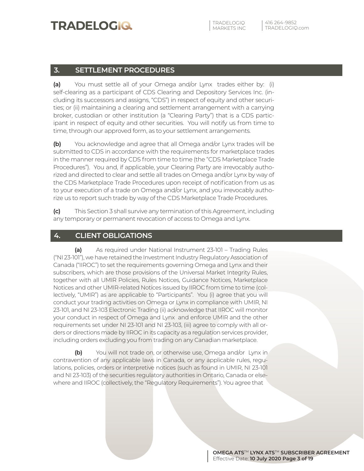### **3. SETTLEMENT PROCEDURES**

**(a)** You must settle all of your Omega and/or Lynx trades either by: (i) self-clearing as a participant of CDS Clearing and Depository Services Inc. (including its successors and assigns, "CDS") in respect of equity and other securities; or (ii) maintaining a clearing and settlement arrangement with a carrying broker, custodian or other institution (a "Clearing Party") that is a CDS participant in respect of equity and other securities. You will notify us from time to time, through our approved form, as to your settlement arrangements.

**(b)** You acknowledge and agree that all Omega and/or Lynx trades will be submitted to CDS in accordance with the requirements for marketplace trades in the manner required by CDS from time to time (the "CDS Marketplace Trade Procedures"). You and, if applicable, your Clearing Party are irrevocably authorized and directed to clear and settle all trades on Omega and/or Lynx by way of the CDS Marketplace Trade Procedures upon receipt of notification from us as to your execution of a trade on Omega and/or Lynx, and you irrevocably authorize us to report such trade by way of the CDS Marketplace Trade Procedures.

**(c)** This Section 3 shall survive any termination of this Agreement, including any temporary or permanent revocation of access to Omega and Lynx.

#### **4. CLIENT OBLIGATIONS**

**(a)** As required under National Instrument 23-101 – Trading Rules ("NI 23-101"), we have retained the Investment Industry Regulatory Association of Canada ("IIROC") to set the requirements governing Omega and Lynx and their subscribers, which are those provisions of the Universal Market Integrity Rules, together with all UMIR Policies, Rules Notices, Guidance Notices, Marketplace Notices and other UMIR-related Notices issued by IIROC from time to time (collectively, "UMIR") as are applicable to "Participants". You (i) agree that you will conduct your trading activities on Omega or Lynx in compliance with UMIR, NI 23-101, and NI 23-103 Electronic Trading (ii) acknowledge that IIROC will monitor your conduct in respect of Omega and Lynx and enforce UMIR and the other requirements set under NI 23-101 and NI 23-103, (iii) agree to comply with all orders or directions made by IIROC in its capacity as a regulation services provider, including orders excluding you from trading on any Canadian marketplace.

**(b)** You will not trade on, or otherwise use, Omega and/or Lynx in contravention of any applicable laws in Canada, or any applicable rules, regulations, policies, orders or interpretive notices (such as found in UMIR, NI 23-101 and NI 23-103) of the securities regulatory authorities in Ontario, Canada or elsewhere and IIROC (collectively, the "Regulatory Requirements"). You agree that

> **OMEGA ATS**TM **LYNX ATS**TM **SUBSCRIBER AGREEMENT** Effective Date: **10 July 2020 Page 3 of 19**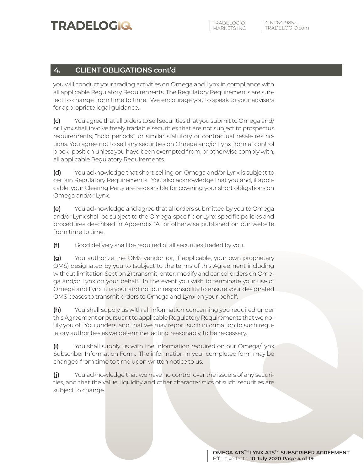### **4. CLIENT OBLIGATIONS cont'd**

you will conduct your trading activities on Omega and Lynx in compliance with all applicable Regulatory Requirements. The Regulatory Requirements are subject to change from time to time. We encourage you to speak to your advisers for appropriate legal guidance.

**(c)** You agree that all orders to sell securities that you submit to Omega and/ or Lynx shall involve freely tradable securities that are not subject to prospectus requirements, "hold periods", or similar statutory or contractual resale restrictions. You agree not to sell any securities on Omega and/or Lynx from a "control block" position unless you have been exempted from, or otherwise comply with, all applicable Regulatory Requirements.

**(d)** You acknowledge that short-selling on Omega and/or Lynx is subject to certain Regulatory Requirements. You also acknowledge that you and, if applicable, your Clearing Party are responsible for covering your short obligations on Omega and/or Lynx.

**(e)** You acknowledge and agree that all orders submitted by you to Omega and/or Lynx shall be subject to the Omega-specific or Lynx-specific policies and procedures described in Appendix "A" or otherwise published on our website from time to time.

**(f)** Good delivery shall be required of all securities traded by you.

**(g)** You authorize the OMS vendor (or, if applicable, your own proprietary OMS) designated by you to (subject to the terms of this Agreement including without limitation Section 2) transmit, enter, modify and cancel orders on Omega and/or Lynx on your behalf. In the event you wish to terminate your use of Omega and Lynx, it is your and not our responsibility to ensure your designated OMS ceases to transmit orders to Omega and Lynx on your behalf.

**(h)** You shall supply us with all information concerning you required under this Agreement or pursuant to applicable Regulatory Requirements that we notify you of. You understand that we may report such information to such regulatory authorities as we determine, acting reasonably, to be necessary.

**(i)** You shall supply us with the information required on our Omega/Lynx Subscriber Information Form. The information in your completed form may be changed from time to time upon written notice to us.

**(j)** You acknowledge that we have no control over the issuers of any securities, and that the value, liquidity and other characteristics of such securities are subject to change.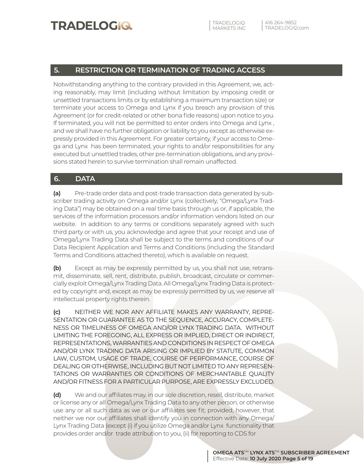#### **5. RESTRICTION OR TERMINATION OF TRADING ACCESS**

Notwithstanding anything to the contrary provided in this Agreement, we, acting reasonably, may limit (including without limitation by imposing credit or unsettled transactions limits or by establishing a maximum transaction size) or terminate your access to Omega and Lynx if you breach any provision of this Agreement (or for credit-related or other bona fide reasons) upon notice to you. If terminated, you will not be permitted to enter orders into Omega and Lynx , and we shall have no further obligation or liability to you except as otherwise expressly provided in this Agreement. For greater certainty, if your access to Omega and Lynx has been terminated, your rights to and/or responsibilities for any executed but unsettled trades, other pre-termination obligations, and any provisions stated herein to survive termination shall remain unaffected.

### **6. DATA**

**(a)** Pre-trade order data and post-trade transaction data generated by subscriber trading activity on Omega and/or Lynx (collectively, "Omega/Lynx Trading Data") may be obtained on a real time basis through us or, if applicable, the services of the information processors and/or information vendors listed on our website. In addition to any terms or conditions separately agreed with such third party or with us, you acknowledge and agree that your receipt and use of Omega/Lynx Trading Data shall be subject to the terms and conditions of our Data Recipient Application and Terms and Conditions (including the Standard Terms and Conditions attached thereto), which is available on request.

**(b)** Except as may be expressly permitted by us, you shall not use, retransmit, disseminate, sell, rent, distribute, publish, broadcast, circulate or commercially exploit Omega/Lynx Trading Data. All Omega/Lynx Trading Data is protected by copyright and, except as may be expressly permitted by us, we reserve all intellectual property rights therein.

**(c)** NEITHER WE NOR ANY AFFILIATE MAKES ANY WARRANTY, REPRE-SENTATION OR GUARANTEE AS TO THE SEQUENCE, ACCURACY, COMPLETE-NESS OR TIMELINESS OF OMEGA AND/OR LYNX TRADING DATA. WITHOUT LIMITING THE FOREGOING, ALL EXPRESS OR IMPLIED, DIRECT OR INDIRECT, REPRESENTATIONS, WARRANTIES AND CONDITIONS IN RESPECT OF OMEGA AND/OR LYNX TRADING DATA ARISING OR IMPLIED BY STATUTE, COMMON LAW, CUSTOM, USAGE OF TRADE, COURSE OF PERFORMANCE, COURSE OF DEALING OR OTHERWISE, INCLUDING BUT NOT LIMITED TO ANY REPRESEN-TATIONS OR WARRANTIES OR CONDITIONS OF MERCHANTABLE QUALITY AND/OR FITNESS FOR A PARTICULAR PURPOSE, ARE EXPRESSLY EXCLUDED.

**(d)** We and our affiliates may, in our sole discretion, resell, distribute, market or license any or all Omega/Lynx Trading Data to any other person, or otherwise use any or all such data as we or our affiliates see fit; provided, however, that neither we nor our affiliates shall identify you in connection with any Omega/ Lynx Trading Data (except (i) if you utilize Omega and/or Lynx functionality that provides order and/or trade attribution to you, (ii) for reporting to CDS for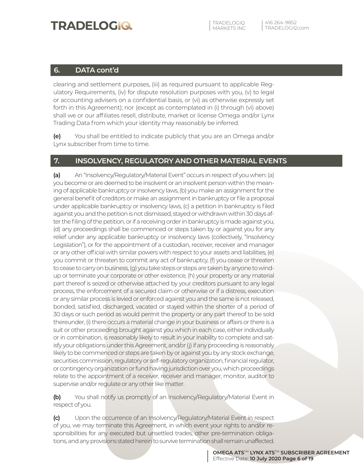#### **6. DATA cont'd**

clearing and settlement purposes, (iii) as required pursuant to applicable Regulatory Requirements, (iv) for dispute resolution purposes with you, (v) to legal or accounting advisers on a confidential basis, or (vi) as otherwise expressly set forth in this Agreement); nor (except as contemplated in (i) through (vi) above) shall we or our affiliates resell, distribute, market or license Omega and/or Lynx Trading Data from which your identity may reasonably be inferred.

**(e)** You shall be entitled to indicate publicly that you are an Omega and/or Lynx subscriber from time to time.

#### **7. INSOLVENCY, REGULATORY AND OTHER MATERIAL EVENTS**

**(a)** An "Insolvency/Regulatory/Material Event" occurs in respect of you when: (a) you become or are deemed to be insolvent or an insolvent person within the meaning of applicable bankruptcy or insolvency laws, (b) you make an assignment for the general benefit of creditors or make an assignment in bankruptcy or file a proposal under applicable bankruptcy or insolvency laws, (c) a petition in bankruptcy is filed against you and the petition is not dismissed, stayed or withdrawn within 30 days after the filing of the petition, or if a receiving order in bankruptcy is made against you, (d) any proceedings shall be commenced or steps taken by or against you for any relief under any applicable bankruptcy or insolvency laws (collectively, "Insolvency Legislation"), or for the appointment of a custodian, receiver, receiver and manager or any other official with similar powers with respect to your assets and liabilities, (e) you commit or threaten to commit any act of bankruptcy, (f) you cease or threaten to cease to carry on business, (g) you take steps or steps are taken by anyone to windup or terminate your corporate or other existence, (h) your property or any material part thereof is seized or otherwise attached by your creditors pursuant to any legal process, the enforcement of a secured claim or otherwise or if a distress, execution or any similar process is levied or enforced against you and the same is not released, bonded, satisfied, discharged, vacated or stayed within the shorter of a period of 30 days or such period as would permit the property or any part thereof to be sold thereunder, (i) there occurs a material change in your business or affairs or there is a suit or other proceeding brought against you which in each case, either individually or in combination, is reasonably likely to result in your inability to complete and satisfy your obligations under this Agreement, and/or (j) if any proceeding is reasonably likely to be commenced or steps are taken by or against you by any stock exchange, securities commission, regulatory or self-regulatory organization, financial regulator, or contingency organization or fund having jurisdiction over you, which proceedings relate to the appointment of a receiver, receiver and manager, monitor, auditor to supervise and/or regulate or any other like matter.

**(b)** You shall notify us promptly of an Insolvency/Regulatory/Material Event in respect of you.

**(c)** Upon the occurrence of an Insolvency/Regulatory/Material Event in respect of you, we may terminate this Agreement, in which event your rights to and/or responsibilities for any executed but unsettled trades, other pre-termination obligations, and any provisions stated herein to survive termination shall remain unaffected.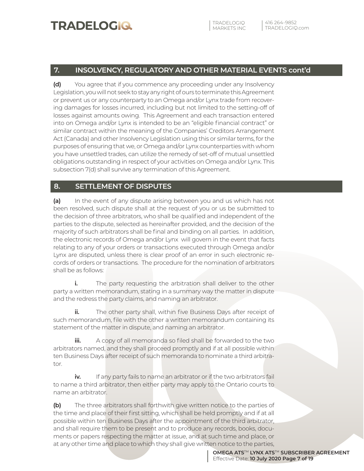#### **7. INSOLVENCY, REGULATORY AND OTHER MATERIAL EVENTS cont'd**

**(d)** You agree that if you commence any proceeding under any Insolvency Legislation, you will not seek to stay any right of ours to terminate this Agreement or prevent us or any counterparty to an Omega and/or Lynx trade from recovering damages for losses incurred, including but not limited to the setting-off of losses against amounts owing. This Agreement and each transaction entered into on Omega and/or Lynx is intended to be an "eligible financial contract" or similar contract within the meaning of the Companies' Creditors Arrangement Act (Canada) and other Insolvency Legislation using this or similar terms, for the purposes of ensuring that we, or Omega and/or Lynx counterparties with whom you have unsettled trades, can utilize the remedy of set-off of mutual unsettled obligations outstanding in respect of your activities on Omega and/or Lynx. This subsection 7(d) shall survive any termination of this Agreement.

#### **8. SETTLEMENT OF DISPUTES**

**(a)** In the event of any dispute arising between you and us which has not been resolved, such dispute shall at the request of you or us be submitted to the decision of three arbitrators, who shall be qualified and independent of the parties to the dispute, selected as hereinafter provided, and the decision of the majority of such arbitrators shall be final and binding on all parties. In addition, the electronic records of Omega and/or Lynx will govern in the event that facts relating to any of your orders or transactions executed through Omega and/or Lynx are disputed, unless there is clear proof of an error in such electronic records of orders or transactions. The procedure for the nomination of arbitrators shall be as follows:

**i.** The party requesting the arbitration shall deliver to the other party a written memorandum, stating in a summary way the matter in dispute and the redress the party claims, and naming an arbitrator.

**ii.** The other party shall, within five Business Days after receipt of such memorandum, file with the other a written memorandum containing its statement of the matter in dispute, and naming an arbitrator.

**iii.** A copy of all memoranda so filed shall be forwarded to the two arbitrators named, and they shall proceed promptly and if at all possible within ten Business Days after receipt of such memoranda to nominate a third arbitrator.

**iv.** If any party fails to name an arbitrator or if the two arbitrators fail to name a third arbitrator, then either party may apply to the Ontario courts to name an arbitrator.

**(b)** The three arbitrators shall forthwith give written notice to the parties of the time and place of their first sitting, which shall be held promptly and if at all possible within ten Business Days after the appointment of the third arbitrator, and shall require them to be present and to produce any records, books, documents or papers respecting the matter at issue, and at such time and place, or at any other time and place to which they shall give written notice to the parties,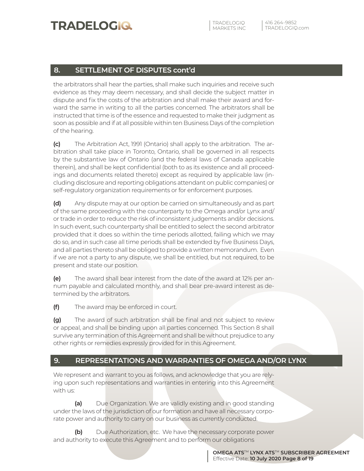### **8. SETTLEMENT OF DISPUTES cont'd**

the arbitrators shall hear the parties, shall make such inquiries and receive such evidence as they may deem necessary, and shall decide the subject matter in dispute and fix the costs of the arbitration and shall make their award and forward the same in writing to all the parties concerned. The arbitrators shall be instructed that time is of the essence and requested to make their judgment as soon as possible and if at all possible within ten Business Days of the completion of the hearing.

**(c)** The Arbitration Act, 1991 (Ontario) shall apply to the arbitration. The arbitration shall take place in Toronto, Ontario, shall be governed in all respects by the substantive law of Ontario (and the federal laws of Canada applicable therein), and shall be kept confidential (both to as its existence and all proceedings and documents related thereto) except as required by applicable law (including disclosure and reporting obligations attendant on public companies) or self-regulatory organization requirements or for enforcement purposes.

**(d)** Any dispute may at our option be carried on simultaneously and as part of the same proceeding with the counterparty to the Omega and/or Lynx and/ or trade in order to reduce the risk of inconsistent judgements and/or decisions. In such event, such counterparty shall be entitled to select the second arbitrator provided that it does so within the time periods allotted, failing which we may do so, and in such case all time periods shall be extended by five Business Days, and all parties thereto shall be obliged to provide a written memorandum. Even if we are not a party to any dispute, we shall be entitled, but not required, to be present and state our position.

**(e)** The award shall bear interest from the date of the award at 12% per annum payable and calculated monthly, and shall bear pre-award interest as determined by the arbitrators.

**(f)** The award may be enforced in court.

**(g)** The award of such arbitration shall be final and not subject to review or appeal, and shall be binding upon all parties concerned. This Section 8 shall survive any termination of this Agreement and shall be without prejudice to any other rights or remedies expressly provided for in this Agreement.

#### **9. REPRESENTATIONS AND WARRANTIES OF OMEGA AND/OR LYNX**

We represent and warrant to you as follows, and acknowledge that you are relying upon such representations and warranties in entering into this Agreement with us:

**(a)** Due Organization. We are validly existing and in good standing under the laws of the jurisdiction of our formation and have all necessary corporate power and authority to carry on our business as currently conducted.

**(b)** Due Authorization, etc. We have the necessary corporate power and authority to execute this Agreement and to perform our obligations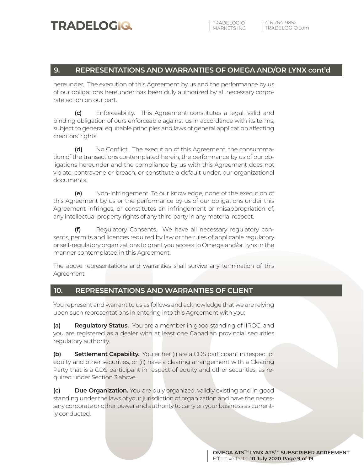#### **9. REPRESENTATIONS AND WARRANTIES OF OMEGA AND/OR LYNX cont'd**

hereunder. The execution of this Agreement by us and the performance by us of our obligations hereunder has been duly authorized by all necessary corporate action on our part.

**(c)** Enforceability. This Agreement constitutes a legal, valid and binding obligation of ours enforceable against us in accordance with its terms, subject to general equitable principles and laws of general application affecting creditors' rights.

**(d)** No Conflict. The execution of this Agreement, the consummation of the transactions contemplated herein, the performance by us of our obligations hereunder and the compliance by us with this Agreement does not violate, contravene or breach, or constitute a default under, our organizational documents.

**(e)** Non-Infringement. To our knowledge, none of the execution of this Agreement by us or the performance by us of our obligations under this Agreement infringes, or constitutes an infringement or misappropriation of, any intellectual property rights of any third party in any material respect.

**(f)** Regulatory Consents. We have all necessary regulatory consents, permits and licences required by law or the rules of applicable regulatory or self-regulatory organizations to grant you access to Omega and/or Lynx in the manner contemplated in this Agreement.

The above representations and warranties shall survive any termination of this Agreement.

#### **10. REPRESENTATIONS AND WARRANTIES OF CLIENT**

You represent and warrant to us as follows and acknowledge that we are relying upon such representations in entering into this Agreement with you:

**(a) Regulatory Status.** You are a member in good standing of IIROC, and you are registered as a dealer with at least one Canadian provincial securities regulatory authority.

**(b) Settlement Capability.** You either (i) are a CDS participant in respect of equity and other securities, or (ii) have a clearing arrangement with a Clearing Party that is a CDS participant in respect of equity and other securities, as required under Section 3 above.

**(c) Due Organization.** You are duly organized, validly existing and in good standing under the laws of your jurisdiction of organization and have the necessary corporate or other power and authority to carry on your business as currently conducted.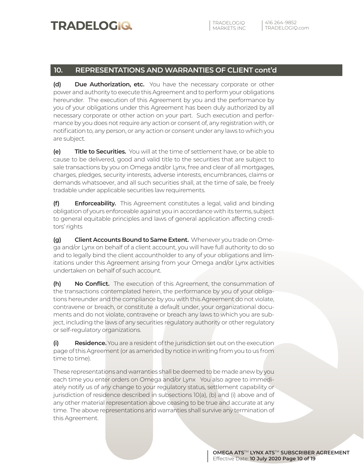#### **10. REPRESENTATIONS AND WARRANTIES OF CLIENT cont'd**

**(d) Due Authorization, etc.** You have the necessary corporate or other power and authority to execute this Agreement and to perform your obligations hereunder. The execution of this Agreement by you and the performance by you of your obligations under this Agreement has been duly authorized by all necessary corporate or other action on your part. Such execution and performance by you does not require any action or consent of, any registration with, or notification to, any person, or any action or consent under any laws to which you are subject.

**(e) Title to Securities.** You will at the time of settlement have, or be able to cause to be delivered, good and valid title to the securities that are subject to sale transactions by you on Omega and/or Lynx, free and clear of all mortgages, charges, pledges, security interests, adverse interests, encumbrances, claims or demands whatsoever, and all such securities shall, at the time of sale, be freely tradable under applicable securities law requirements.

**(f) Enforceability.** This Agreement constitutes a legal, valid and binding obligation of yours enforceable against you in accordance with its terms, subject to general equitable principles and laws of general application affecting creditors' rights

**(g) Client Accounts Bound to Same Extent.** Whenever you trade on Omega and/or Lynx on behalf of a client account, you will have full authority to do so and to legally bind the client accountholder to any of your obligations and limitations under this Agreement arising from your Omega and/or Lynx activities undertaken on behalf of such account.

**(h) No Conflict.** The execution of this Agreement, the consummation of the transactions contemplated herein, the performance by you of your obligations hereunder and the compliance by you with this Agreement do not violate, contravene or breach, or constitute a default under, your organizational documents and do not violate, contravene or breach any laws to which you are subject, including the laws of any securities regulatory authority or other regulatory or self-regulatory organizations.

**(i) Residence.** You are a resident of the jurisdiction set out on the execution page of this Agreement (or as amended by notice in writing from you to us from time to time).

These representations and warranties shall be deemed to be made anew by you each time you enter orders on Omega and/or Lynx You also agree to immediately notify us of any change to your regulatory status, settlement capability or jurisdiction of residence described in subsections 10(a), (b) and (i) above and of any other material representation above ceasing to be true and accurate at any time. The above representations and warranties shall survive any termination of this Agreement.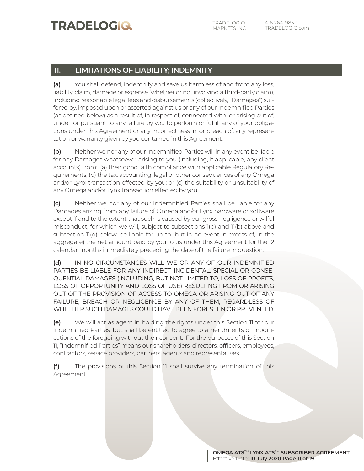### **11. LIMITATIONS OF LIABILITY; INDEMNITY**

**(a)** You shall defend, indemnify and save us harmless of and from any loss, liability, claim, damage or expense (whether or not involving a third-party claim), including reasonable legal fees and disbursements (collectively, "Damages") suffered by, imposed upon or asserted against us or any of our Indemnified Parties (as defined below) as a result of, in respect of, connected with, or arising out of, under, or pursuant to any failure by you to perform or fulfill any of your obligations under this Agreement or any incorrectness in, or breach of, any representation or warranty given by you contained in this Agreement.

**(b)** Neither we nor any of our Indemnified Parties will in any event be liable for any Damages whatsoever arising to you (including, if applicable, any client accounts) from: (a) their good faith compliance with applicable Regulatory Requirements; (b) the tax, accounting, legal or other consequences of any Omega and/or Lynx transaction effected by you; or (c) the suitability or unsuitability of any Omega and/or Lynx transaction effected by you.

**(c)** Neither we nor any of our Indemnified Parties shall be liable for any Damages arising from any failure of Omega and/or Lynx hardware or software except if and to the extent that such is caused by our gross negligence or wilful misconduct, for which we will, subject to subsections 1(b) and 11(b) above and subsection 11(d) below, be liable for up to (but in no event in excess of, in the aggregate) the net amount paid by you to us under this Agreement for the 12 calendar months immediately preceding the date of the failure in question.

**(d)** IN NO CIRCUMSTANCES WILL WE OR ANY OF OUR INDEMNIFIED PARTIES BE LIABLE FOR ANY INDIRECT, INCIDENTAL, SPECIAL OR CONSE-QUENTIAL DAMAGES (INCLUDING, BUT NOT LIMITED TO, LOSS OF PROFITS, LOSS OF OPPORTUNITY AND LOSS OF USE) RESULTING FROM OR ARISING OUT OF THE PROVISION OF ACCESS TO OMEGA OR ARISING OUT OF ANY FAILURE, BREACH OR NEGLIGENCE BY ANY OF THEM, REGARDLESS OF WHETHER SUCH DAMAGES COULD HAVE BEEN FORESEEN OR PREVENTED.

**(e)** We will act as agent in holding the rights under this Section 11 for our Indemnified Parties, but shall be entitled to agree to amendments or modifications of the foregoing without their consent. For the purposes of this Section 11, "Indemnified Parties" means our shareholders, directors, officers, employees, contractors, service providers, partners, agents and representatives.

**(f)** The provisions of this Section 11 shall survive any termination of this Agreement.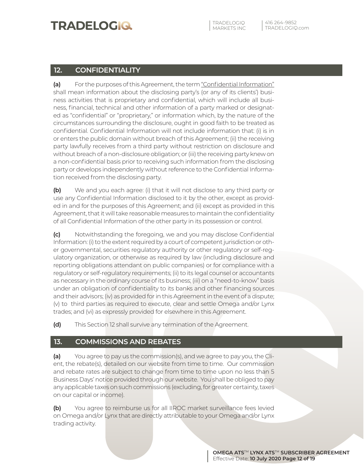TRADELOGIQ

TRADELOGIQ.com 416 264-9852

### **12. CONFIDENTIALITY**

**(a)** For the purposes of this Agreement, the term "Confidential Information" shall mean information about the disclosing party's (or any of its clients') business activities that is proprietary and confidential, which will include all business, financial, technical and other information of a party marked or designated as "confidential" or "proprietary," or information which, by the nature of the circumstances surrounding the disclosure, ought in good faith to be treated as confidential. Confidential Information will not include information that: (i) is in or enters the public domain without breach of this Agreement; (ii) the receiving party lawfully receives from a third party without restriction on disclosure and without breach of a non-disclosure obligation; or (iii) the receiving party knew on a non-confidential basis prior to receiving such information from the disclosing party or develops independently without reference to the Confidential Information received from the disclosing party.

**(b)** We and you each agree: (i) that it will not disclose to any third party or use any Confidential Information disclosed to it by the other, except as provided in and for the purposes of this Agreement; and (ii) except as provided in this Agreement, that it will take reasonable measures to maintain the confidentiality of all Confidential Information of the other party in its possession or control.

**(c)** Notwithstanding the foregoing, we and you may disclose Confidential Information: (i) to the extent required by a court of competent jurisdiction or other governmental, securities regulatory authority or other regulatory or self-regulatory organization, or otherwise as required by law (including disclosure and reporting obligations attendant on public companies) or for compliance with a regulatory or self-regulatory requirements; (ii) to its legal counsel or accountants as necessary in the ordinary course of its business; (iii) on a "need-to-know" basis under an obligation of confidentiality to its banks and other financing sources and their advisors; (iv) as provided for in this Agreement in the event of a dispute; (v) to third parties as required to execute, clear and settle Omega and/or Lynx trades; and (vi) as expressly provided for elsewhere in this Agreement.

**(d)** This Section 12 shall survive any termination of the Agreement.

#### **13. COMMISSIONS AND REBATES**

**(a)** You agree to pay us the commission(s), and we agree to pay you, the Client, the rebate(s), detailed on our website from time to time. Our commission and rebate rates are subject to change from time to time upon no less than 5 Business Days' notice provided through our website. You shall be obliged to pay any applicable taxes on such commissions (excluding, for greater certainty, taxes on our capital or income).

**(b)** You agree to reimburse us for all IIROC market surveillance fees levied on Omega and/or Lynx that are directly attributable to your Omega and/or Lynx trading activity.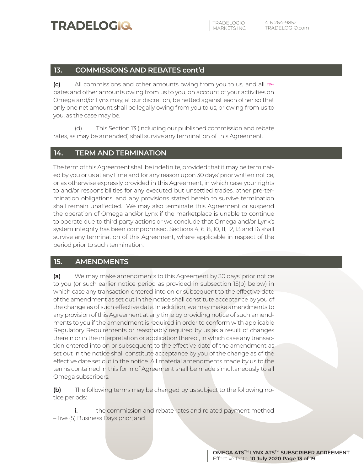#### **13. COMMISSIONS AND REBATES cont'd**

**(c)** All commissions and other amounts owing from you to us, and all rebates and other amounts owing from us to you, on account of your activities on Omega and/or Lynx may, at our discretion, be netted against each other so that only one net amount shall be legally owing from you to us, or owing from us to you, as the case may be.

(d) This Section 13 (including our published commission and rebate rates, as may be amended) shall survive any termination of this Agreement.

#### **14. TERM AND TERMINATION**

The term of this Agreement shall be indefinite, provided that it may be terminated by you or us at any time and for any reason upon 30 days' prior written notice, or as otherwise expressly provided in this Agreement, in which case your rights to and/or responsibilities for any executed but unsettled trades, other pre-termination obligations, and any provisions stated herein to survive termination shall remain unaffected. We may also terminate this Agreement or suspend the operation of Omega and/or Lynx if the marketplace is unable to continue to operate due to third party actions or we conclude that Omega and/or Lynx's system integrity has been compromised. Sections 4, 6, 8, 10, 11, 12, 13 and 16 shall survive any termination of this Agreement, where applicable in respect of the period prior to such termination.

#### **15. AMENDMENTS**

**(a)** We may make amendments to this Agreement by 30 days' prior notice to you (or such earlier notice period as provided in subsection 15(b) below) in which case any transaction entered into on or subsequent to the effective date of the amendment as set out in the notice shall constitute acceptance by you of the change as of such effective date. In addition, we may make amendments to any provision of this Agreement at any time by providing notice of such amendments to you if the amendment is required in order to conform with applicable Regulatory Requirements or reasonably required by us as a result of changes therein or in the interpretation or application thereof, in which case any transaction entered into on or subsequent to the effective date of the amendment as set out in the notice shall constitute acceptance by you of the change as of the effective date set out in the notice. All material amendments made by us to the terms contained in this form of Agreement shall be made simultaneously to all Omega subscribers.

**(b)** The following terms may be changed by us subject to the following notice periods:

**i.** the commission and rebate rates and related payment method – five (5) Business Days prior; and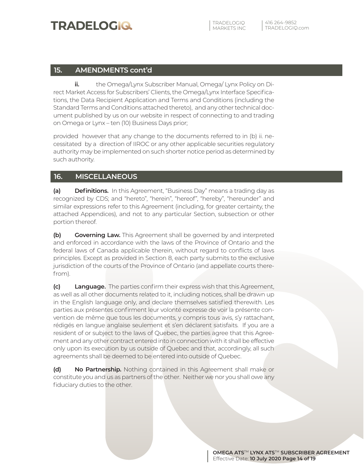TRADELOGIQ

#### **15. AMENDMENTS cont'd**

**ii.** the Omega/Lynx Subscriber Manual, Omega/ Lynx Policy on Direct Market Access for Subscribers' Clients, the Omega/Lynx Interface Specifications, the Data Recipient Application and Terms and Conditions (including the Standard Terms and Conditions attached thereto), and any other technical document published by us on our website in respect of connecting to and trading on Omega or Lynx – ten (10) Business Days prior;

provided however that any change to the documents referred to in (b) ii. necessitated by a direction of IIROC or any other applicable securities regulatory authority may be implemented on such shorter notice period as determined by such authority.

#### **16. MISCELLANEOUS**

**(a) Definitions.** In this Agreement, "Business Day" means a trading day as recognized by CDS; and "hereto", "herein", "hereof", "hereby", "hereunder" and similar expressions refer to this Agreement (including, for greater certainty, the attached Appendices), and not to any particular Section, subsection or other portion thereof.

**(b) Governing Law.** This Agreement shall be governed by and interpreted and enforced in accordance with the laws of the Province of Ontario and the federal laws of Canada applicable therein, without regard to conflicts of laws principles. Except as provided in Section 8, each party submits to the exclusive jurisdiction of the courts of the Province of Ontario (and appellate courts therefrom).

**(c) Language.** The parties confirm their express wish that this Agreement, as well as all other documents related to it, including notices, shall be drawn up in the English language only, and declare themselves satisfied therewith. Les parties aux présentes confirment leur volonté expresse de voir la présente convention de même que tous les documents, y compris tous avis, s'y rattachant, rédigés en langue anglaise seulement et s'en déclarent satisfaits. If you are a resident of or subject to the laws of Quebec, the parties agree that this Agreement and any other contract entered into in connection with it shall be effective only upon its execution by us outside of Quebec and that, accordingly, all such agreements shall be deemed to be entered into outside of Quebec.

**(d) No Partnership.** Nothing contained in this Agreement shall make or constitute you and us as partners of the other. Neither we nor you shall owe any fiduciary duties to the other.

> **OMEGA ATS**TM **LYNX ATS**TM **SUBSCRIBER AGREEMENT** Effective Date: **10 July 2020 Page 14 of 19**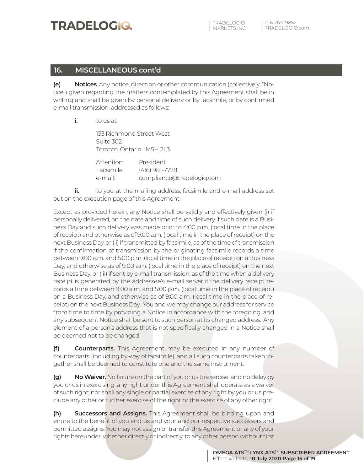TRADELOGIQ

#### **16. MISCELLANEOUS cont'd**

**(e) Notices**. Any notice, direction or other communication (collectively, "Notice") given regarding the matters contemplated by this Agreement shall be in writing and shall be given by personal delivery or by facsimile, or by confirmed e-mail transmission, addressed as follows:

**i.** to us at:

 133 Richmond Street West Suite 302 Toronto, Ontario M5H 2L3

| Attention: | President                 |
|------------|---------------------------|
| Facsimile: | (416) 981-7728            |
| e-mail:    | compliance@tradelogiq.com |

**ii.** to you at the mailing address, facsimile and e-mail address set out on the execution page of this Agreement.

Except as provided herein, any Notice shall be validly and effectively given (i) if personally delivered, on the date and time of such delivery if such date is a Business Day and such delivery was made prior to 4:00 p.m. (local time in the place of receipt) and otherwise as of 9:00 a.m. (local time in the place of receipt) on the next Business Day, or (ii) if transmitted by facsimile, as of the time of transmission if the confirmation of transmission by the originating facsimile records a time between 9:00 a.m. and 5:00 p.m. (local time in the place of receipt) on a Business Day, and otherwise as of 9:00 a.m. (local time in the place of receipt) on the next Business Day, or (iii) if sent by e-mail transmission, as of the time when a delivery receipt is generated by the addressee's e-mail server if the delivery receipt records a time between 9:00 a.m. and 5:00 p.m. (local time in the place of receipt) on a Business Day, and otherwise as of 9:00 a.m. (local time in the place of receipt) on the next Business Day. You and we may change our address for service from time to time by providing a Notice in accordance with the foregoing, and any subsequent Notice shall be sent to such person at its changed address. Any element of a person's address that is not specifically changed in a Notice shall be deemed not to be changed.

**(f) Counterparts.** This Agreement may be executed in any number of counterparts (including by way of facsimile), and all such counterparts taken together shall be deemed to constitute one and the same instrument.

**(g) No Waiver.** No failure on the part of you or us to exercise, and no delay by you or us in exercising, any right under this Agreement shall operate as a waiver of such right; nor shall any single or partial exercise of any right by you or us preclude any other or further exercise of the right or the exercise of any other right.

**(h) Successors and Assigns.** This Agreement shall be binding upon and enure to the benefit of you and us and your and our respective successors and permitted assigns. You may not assign or transfer this Agreement or any of your rights hereunder, whether directly or indirectly, to any other person without first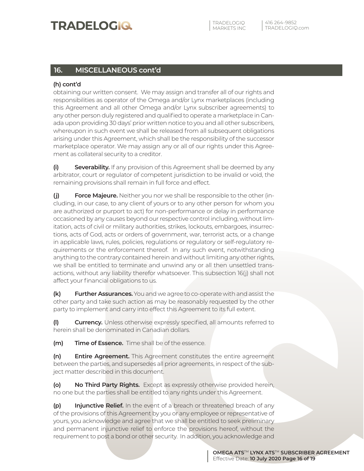### **16. MISCELLANEOUS cont'd**

#### **(h) cont'd**

obtaining our written consent. We may assign and transfer all of our rights and responsibilities as operator of the Omega and/or Lynx marketplaces (including this Agreement and all other Omega and/or Lynx subscriber agreements) to any other person duly registered and qualified to operate a marketplace in Canada upon providing 30 days' prior written notice to you and all other subscribers, whereupon in such event we shall be released from all subsequent obligations arising under this Agreement, which shall be the responsibility of the successor marketplace operator. We may assign any or all of our rights under this Agreement as collateral security to a creditor.

**(i) Severability.** If any provision of this Agreement shall be deemed by any arbitrator, court or regulator of competent jurisdiction to be invalid or void, the remaining provisions shall remain in full force and effect.

**(j) Force Majeure.** Neither you nor we shall be responsible to the other (including, in our case, to any client of yours or to any other person for whom you are authorized or purport to act) for non-performance or delay in performance occasioned by any causes beyond our respective control including, without limitation, acts of civil or military authorities, strikes, lockouts, embargoes, insurrections, acts of God, acts or orders of government, war, terrorist acts, or a change in applicable laws, rules, policies, regulations or regulatory or self-regulatory requirements or the enforcement thereof. In any such event, notwithstanding anything to the contrary contained herein and without limiting any other rights, we shall be entitled to terminate and unwind any or all then unsettled transactions, without any liability therefor whatsoever. This subsection 16(j) shall not affect your financial obligations to us.

**(k) Further Assurances.** You and we agree to co-operate with and assist the other party and take such action as may be reasonably requested by the other party to implement and carry into effect this Agreement to its full extent.

**(l) Currency.** Unless otherwise expressly specified, all amounts referred to herein shall be denominated in Canadian dollars.

**(m) Time of Essence.** Time shall be of the essence.

**(n) Entire Agreement.** This Agreement constitutes the entire agreement between the parties, and supersedes all prior agreements, in respect of the subject matter described in this document.

**(o) No Third Party Rights.** Except as expressly otherwise provided herein, no one but the parties shall be entitled to any rights under this Agreement.

**(p) Injunctive Relief.** In the event of a breach or threatened breach of any of the provisions of this Agreement by you or any employee or representative of yours, you acknowledge and agree that we shall be entitled to seek preliminary and permanent injunctive relief to enforce the provisions hereof, without the requirement to post a bond or other security. In addition, you acknowledge and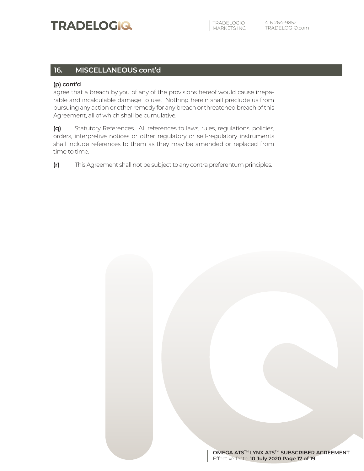#### **16. MISCELLANEOUS cont'd**

#### **(p) cont'd**

agree that a breach by you of any of the provisions hereof would cause irreparable and incalculable damage to use. Nothing herein shall preclude us from pursuing any action or other remedy for any breach or threatened breach of this Agreement, all of which shall be cumulative.

**(q)** Statutory References. All references to laws, rules, regulations, policies, orders, interpretive notices or other regulatory or self-regulatory instruments shall include references to them as they may be amended or replaced from time to time.

**(r)** This Agreement shall not be subject to any contra preferentum principles.

**OMEGA ATS**TM **LYNX ATS**TM **SUBSCRIBER AGREEMENT** Effective Date: **10 July 2020 Page 17 of 19**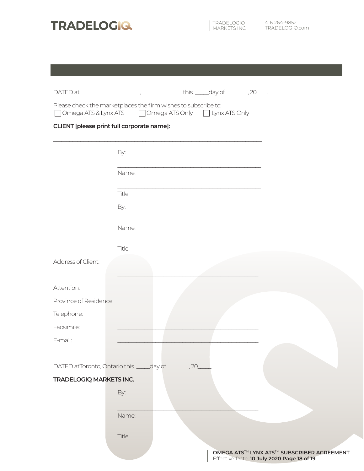

| Omega ATS & Lynx ATS                       | Please check the marketplaces the firm wishes to subscribe to:<br>□ Omega ATS Only □ Lynx ATS Only |                                                                                         |
|--------------------------------------------|----------------------------------------------------------------------------------------------------|-----------------------------------------------------------------------------------------|
| CLIENT [please print full corporate name]: |                                                                                                    |                                                                                         |
|                                            | By:                                                                                                |                                                                                         |
|                                            | Name:                                                                                              |                                                                                         |
|                                            | Title:                                                                                             |                                                                                         |
|                                            | By:                                                                                                |                                                                                         |
|                                            | Name:                                                                                              |                                                                                         |
|                                            | Title:                                                                                             |                                                                                         |
| Address of Client:                         |                                                                                                    |                                                                                         |
| Attention:                                 |                                                                                                    |                                                                                         |
| Province of Residence:<br>Telephone:       | <b>Contract Contract Contract Contract</b>                                                         |                                                                                         |
| Facsimile:                                 |                                                                                                    |                                                                                         |
| E-mail:                                    |                                                                                                    |                                                                                         |
|                                            | DATED atToronto, Ontario this _____day of _________, 20_                                           |                                                                                         |
| <b>TRADELOGIQ MARKETS INC.</b>             | By:                                                                                                |                                                                                         |
|                                            |                                                                                                    |                                                                                         |
|                                            | Name:                                                                                              |                                                                                         |
|                                            | Title:                                                                                             |                                                                                         |
|                                            |                                                                                                    | OMEGA ATS™ LYNX ATS™ SUBSCRIBER AGREEMENT<br>Effective Date: 10 July 2020 Page 18 of 19 |